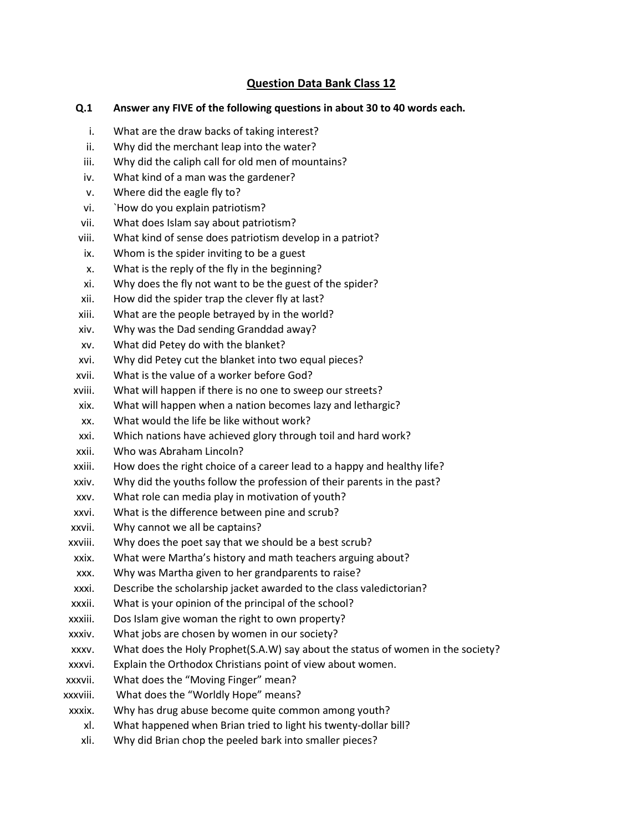## **Question Data Bank Class 12**

# **Q.1 Answer any FIVE of the following questions in about 30 to 40 words each.**

- i. What are the draw backs of taking interest?
- ii. Why did the merchant leap into the water?
- iii. Why did the caliph call for old men of mountains?
- iv. What kind of a man was the gardener?
- v. Where did the eagle fly to?
- vi. `How do you explain patriotism?
- vii. What does Islam say about patriotism?
- viii. What kind of sense does patriotism develop in a patriot?
- ix. Whom is the spider inviting to be a guest
- x. What is the reply of the fly in the beginning?
- xi. Why does the fly not want to be the guest of the spider?
- xii. How did the spider trap the clever fly at last?
- xiii. What are the people betrayed by in the world?
- xiv. Why was the Dad sending Granddad away?
- xv. What did Petey do with the blanket?
- xvi. Why did Petey cut the blanket into two equal pieces?
- xvii. What is the value of a worker before God?
- xviii. What will happen if there is no one to sweep our streets?
- xix. What will happen when a nation becomes lazy and lethargic?
- xx. What would the life be like without work?
- xxi. Which nations have achieved glory through toil and hard work?
- xxii. Who was Abraham Lincoln?
- xxiii. How does the right choice of a career lead to a happy and healthy life?
- xxiv. Why did the youths follow the profession of their parents in the past?
- xxv. What role can media play in motivation of youth?
- xxvi. What is the difference between pine and scrub?
- xxvii. Why cannot we all be captains?
- xxviii. Why does the poet say that we should be a best scrub?
- xxix. What were Martha's history and math teachers arguing about?
- xxx. Why was Martha given to her grandparents to raise?
- xxxi. Describe the scholarship jacket awarded to the class valedictorian?
- xxxii. What is your opinion of the principal of the school?
- xxxiii. Dos Islam give woman the right to own property?
- xxxiv. What jobs are chosen by women in our society?
- xxxv. What does the Holy Prophet(S.A.W) say about the status of women in the society?
- xxxvi. Explain the Orthodox Christians point of view about women.
- xxxvii. What does the "Moving Finger" mean?
- xxxviii. What does the "Worldly Hope" means?
- xxxix. Why has drug abuse become quite common among youth?
	- xl. What happened when Brian tried to light his twenty-dollar bill?
	- xli. Why did Brian chop the peeled bark into smaller pieces?